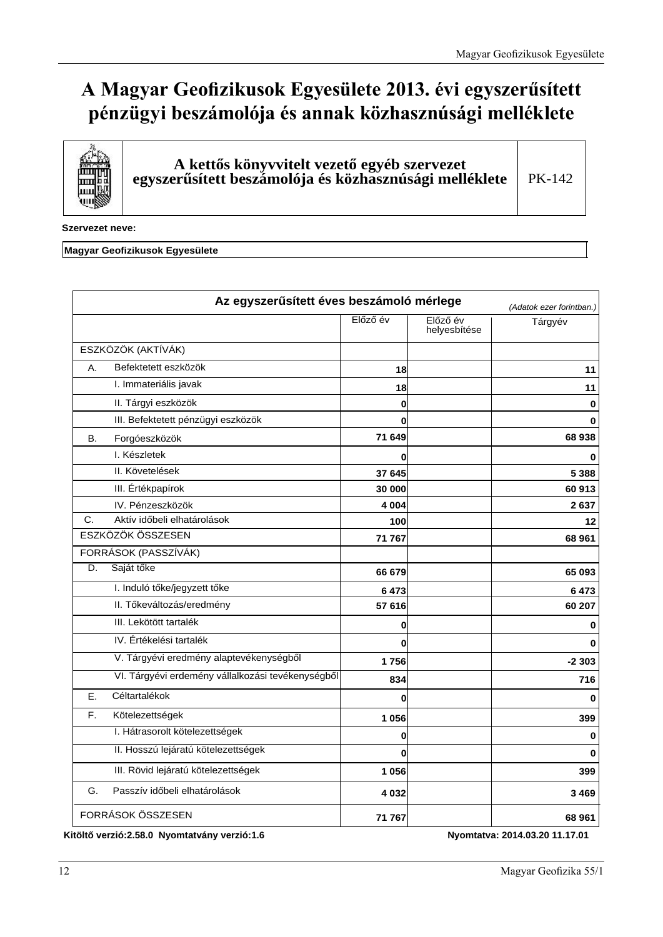# A Magyar Geofizikusok Egyesülete 2013. évi egyszerűsített **pénzügyi beszámolója és annak közhasznúsági melléklete**



A kettős könyvvitelt vezető egyéb szervezet egyszerűsített beszámolója és közhasznúsági melléklete

PK-142

**Szervezet neve:** 

### **Magyar Geofizikusok Egyesülete**

|    | Az egyszerűsített éves beszámoló mérlege          |          |                          | (Adatok ezer forintban.) |
|----|---------------------------------------------------|----------|--------------------------|--------------------------|
|    |                                                   | Előző év | Előző év<br>helyesbítése | Tárgyév                  |
|    | ESZKÖZÖK (AKTÍVÁK)                                |          |                          |                          |
| A. | Befektetett eszközök                              | 18       |                          | 11                       |
|    | I. Immateriális javak                             | 18       |                          | 11                       |
|    | II. Tárgyi eszközök                               | 0        |                          | 0                        |
|    | III. Befektetett pénzügyi eszközök                | 0        |                          | 0                        |
| В. | Forgóeszközök                                     | 71 649   |                          | 68938                    |
|    | I. Készletek                                      | 0        |                          | 0                        |
|    | II. Követelések                                   | 37 645   |                          | 5 3 8 8                  |
|    | III. Értékpapírok                                 | 30 000   |                          | 60 913                   |
|    | IV. Pénzeszközök                                  | 4 0 0 4  |                          | 2637                     |
| C. | Aktív időbeli elhatárolások                       | 100      |                          | 12                       |
|    | ESZKÖZÖK ÖSSZESEN                                 | 71 767   |                          | 68 961                   |
|    | FORRÁSOK (PASSZÍVÁK)                              |          |                          |                          |
| D. | Saját tőke                                        | 66 679   |                          | 65 093                   |
|    | I. Induló tőke/jegyzett tőke                      | 6473     |                          | 6473                     |
|    | II. Tőkeváltozás/eredmény                         | 57 616   |                          | 60 207                   |
|    | III. Lekötött tartalék                            | 0        |                          | 0                        |
|    | IV. Értékelési tartalék                           | 0        |                          | $\Omega$                 |
|    | V. Tárgyévi eredmény alaptevékenységből           | 1756     |                          | $-2303$                  |
|    | VI. Tárgyévi erdemény vállalkozási tevékenységből | 834      |                          | 716                      |
| Ε. | Céltartalékok                                     | 0        |                          | $\bf{0}$                 |
| F. | Kötelezettségek                                   | 1 0 5 6  |                          | 399                      |
|    | I. Hátrasorolt kötelezettségek                    | 0        |                          | $\bf{0}$                 |
|    | II. Hosszú lejáratú kötelezettségek               | 0        |                          | $\Omega$                 |
|    | III. Rövid lejáratú kötelezettségek               | 1 0 5 6  |                          | 399                      |
| G. | Passzív időbeli elhatárolások                     | 4 0 3 2  |                          | 3469                     |
|    | FORRÁSOK ÖSSZESEN                                 | 71 767   |                          | 68 961                   |

Kitöltő verzió:2.58.0 Nyomtatvány verzió:1.6 **bizterinden alapítatoria: 2014.03.2011.17.01** Nyomtatva: 2014.03.2011.17.01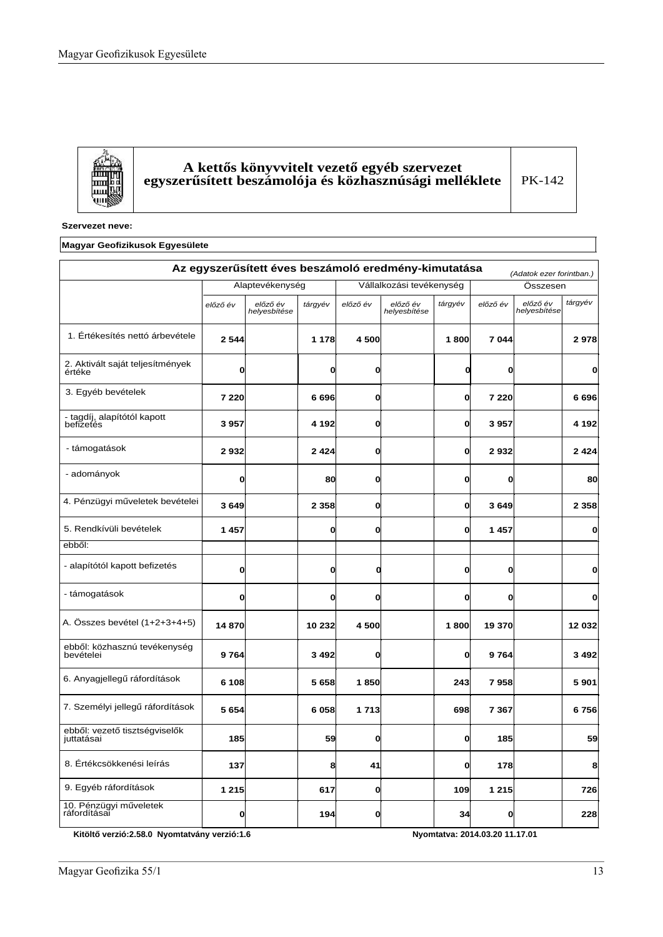儒

### ${\bf A}$  kettős könyvvitelt vezető egyéb szervezet egyszerűsített beszámolója és közhasznúsági melléklete

PK-142

### **Szervezet neve:**

### **Magyar Geofizikusok Egyesülete**

|                                             |          | Az egyszerűsített éves beszámoló eredmény-kimutatása |         |              |                          |         |          | (Adatok ezer forintban.) |              |
|---------------------------------------------|----------|------------------------------------------------------|---------|--------------|--------------------------|---------|----------|--------------------------|--------------|
|                                             |          | Alaptevékenység                                      |         |              | Vállalkozási tevékenység |         |          | Összesen                 |              |
|                                             | előző év | előző év<br>helyesbítése                             | tárgyév | előző év     | előző év<br>helyesbítése | tárgyév | előző év | előző év<br>helyesbítése | tárgyév      |
| 1. Értékesítés nettó árbevétele             | 2 5 4 4  |                                                      | 1 1 7 8 | 4500         |                          | 1800    | 7 0 4 4  |                          | 2978         |
| 2. Aktivált saját teljesítmények<br>értéke  | 0        |                                                      | O       | O            |                          | 0       | 0        |                          | O            |
| 3. Egyéb bevételek                          | 7 2 2 0  |                                                      | 6696    | O            |                          | 0       | 7 2 2 0  |                          | 6696         |
| - tagdíj, alapítótól kapott<br>befizetés    | 3957     |                                                      | 4 1 9 2 | O            |                          | 0       | 3957     |                          | 4 1 9 2      |
| - támogatások                               | 2932     |                                                      | 2424    | 0            |                          | 0       | 2932     |                          | 2 4 2 4      |
| - adományok                                 | 0        |                                                      | 80      | O            |                          | O       | 0        |                          | 80           |
| 4. Pénzügyi műveletek bevételei             | 3649     |                                                      | 2 3 5 8 | $\mathbf{0}$ |                          | O       | 3649     |                          | 2 3 5 8      |
| 5. Rendkívüli bevételek                     | 1457     |                                                      | O       | O            |                          | O       | 1457     |                          | $\mathbf{0}$ |
| ebből:                                      |          |                                                      |         |              |                          |         |          |                          |              |
| - alapítótól kapott befizetés               | 0        |                                                      | 0l      | O            |                          | 0       | 0        |                          | $\mathbf{0}$ |
| - támogatások                               | 0        |                                                      | O       | $\mathbf{0}$ |                          | 0       | 0        |                          | $\mathbf{0}$ |
| A. Összes bevétel (1+2+3+4+5)               | 14870    |                                                      | 10 232  | 4500         |                          | 1800    | 19 370   |                          | 12 032       |
| ebből: közhasznú tevékenység<br>bevételei   | 9764     |                                                      | 3492    | $\mathbf{0}$ |                          | O       | 9764     |                          | 3 4 9 2      |
| 6. Anyagjellegű ráfordítások                | 6 1 0 8  |                                                      | 5658    | 1850         |                          | 243     | 7958     |                          | 5901         |
| 7. Személyi jellegű ráfordítások            | 5654     |                                                      | 6058    | 1713         |                          | 698     | 7 3 6 7  |                          | 6756         |
| ebből: vezető tisztségviselők<br>juttatásai | 185      |                                                      | 59      | $\mathbf{0}$ |                          | O       | 185      |                          | 59           |
| 8. Értékcsökkenési leírás                   | 137      |                                                      | 8       | 41           |                          | 0       | 178      |                          | 8            |
| 9. Egyéb ráfordítások                       | 1 2 1 5  |                                                      | 617     | $\mathbf{0}$ |                          | 109     | 1 2 1 5  |                          | 726          |
| 10. Pénzügyi műveletek<br>ráfordításai      | O        |                                                      | 194     | O            |                          | 34      | 0        |                          | 228          |

**.LW|OWėYHU]Ly1\RPWDWYiQ\YHU]Ly 1\RPWDWYD**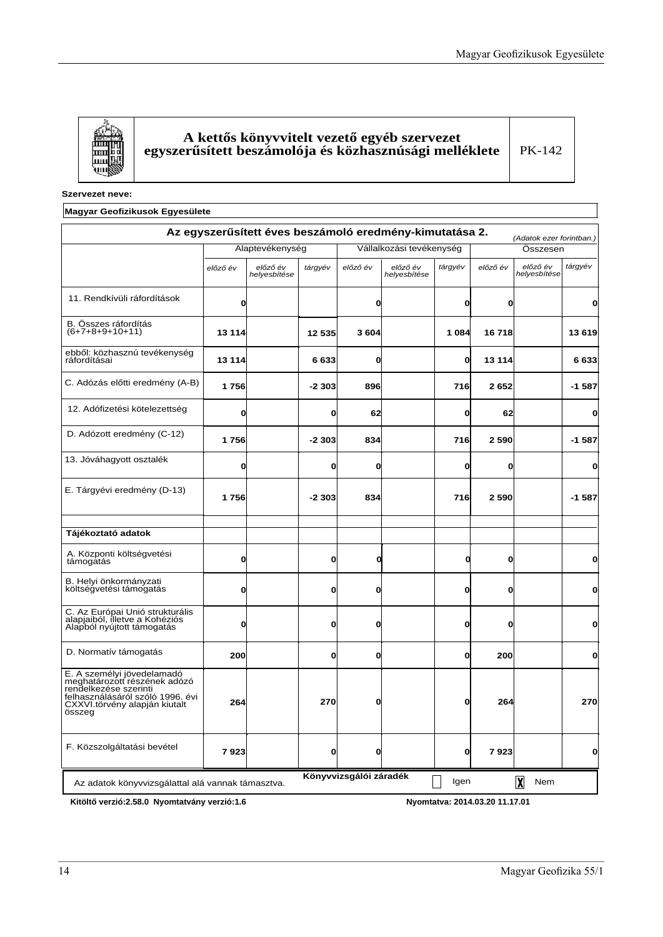

### ${\bf A}$  kettős könyvvitelt vezető egyéb szervezet egyszerűsített beszámolója és közhasznúsági melléklete

PK-142

**Szervezet neve:** 

### **Magyar Geofizikusok Egyesülete**

|                                                                                                                                                                    |                 | Az egyszerűsített éves beszámoló eredmény-kimutatása 2. |              |                        |                          |         |          | (Adatok ezer forintban.) |         |  |
|--------------------------------------------------------------------------------------------------------------------------------------------------------------------|-----------------|---------------------------------------------------------|--------------|------------------------|--------------------------|---------|----------|--------------------------|---------|--|
|                                                                                                                                                                    | Alaptevékenység |                                                         |              |                        | Vállalkozási tevékenység |         |          | Összesen                 |         |  |
|                                                                                                                                                                    | előző év        | előző év<br>helyesbítése                                | tárgyév      | előző év               | előző év<br>helyesbítése | tárgyév | előző év | előző év<br>helyesbítése | tárgyév |  |
| 11. Rendkívüli ráfordítások                                                                                                                                        |                 |                                                         |              | 0                      |                          | O       | Ol       |                          | 0       |  |
| B. Összes ráfordítás<br>$(6+7+8+9+10+11)$                                                                                                                          | 13 114          |                                                         | 12 535       | 3604                   |                          | 1 0 8 4 | 16 718   |                          | 13 619  |  |
| ebből: közhasznú tevékenység<br>ráfordításai                                                                                                                       | 13 114          |                                                         | 6633         | 0                      |                          | 0       | 13 114   |                          | 6633    |  |
| C. Adózás előtti eredmény (A-B)                                                                                                                                    | 1756            |                                                         | $-2303$      | 896                    |                          | 716     | 2652     |                          | $-1587$ |  |
| 12. Adófizetési kötelezettség                                                                                                                                      | 0               |                                                         | $\mathbf{0}$ | 62                     |                          | O       | 62       |                          | 0       |  |
| D. Adózott eredmény (C-12)                                                                                                                                         | 1756            |                                                         | $-2303$      | 834                    |                          | 716     | 2 5 9 0  |                          | $-1587$ |  |
| 13. Jóváhagyott osztalék                                                                                                                                           | 0               |                                                         | 0            | 0                      |                          | O       | O        |                          | 0       |  |
| E. Tárgyévi eredmény (D-13)                                                                                                                                        | 1756            |                                                         | $-2303$      | 834                    |                          | 716     | 2 5 9 0  |                          | $-1587$ |  |
| Tájékoztató adatok                                                                                                                                                 |                 |                                                         |              |                        |                          |         |          |                          |         |  |
| A. Központi költségvetési<br>támogatás                                                                                                                             | 0               |                                                         | $\mathbf{0}$ | 0                      |                          | 0       | O        |                          | 0       |  |
| B. Helyi önkormányzati<br>költségvetési támogatás                                                                                                                  | ŋ               |                                                         | $\mathbf{0}$ | 0                      |                          | O       | O        |                          | O       |  |
| C. Az Európai Unió strukturális<br>alapjaiból, illetve a Kohéziós<br>Alapból nyújtott támogatás                                                                    | n               |                                                         | $\mathbf{0}$ | 0                      |                          | O       | O        |                          | 0       |  |
| D. Normatív támogatás                                                                                                                                              | 200             |                                                         | 0            | 0                      |                          | 0       | 200      |                          | 0       |  |
| E. A személyi jövedelamadó<br>meghatározott részének adózó<br>rendelkezése szerinti<br>felhasználásáról szóló 1996. évi<br>CXXVI.törvény alapján kiutalt<br>összeg | 264             |                                                         | 270          | 0                      |                          | 0       | 264      |                          | 270     |  |
| F. Közszolgáltatási bevétel                                                                                                                                        | 7923            |                                                         | 0            | 0                      |                          | 0       | 7923     |                          | 0       |  |
| Az adatok könyvvizsgálattal alá vannak támasztva.                                                                                                                  |                 |                                                         |              | Könyvvizsgálói záradék |                          | Igen    |          | 风<br>Nem                 |         |  |

Kitöltő verzió:2.58.0 Nyomtatvány verzió:1.6 **biztaneta a magyar a magyar kitebre 1.1.1.2.**01 Nyomtatva: 2014.03.20 11.17.01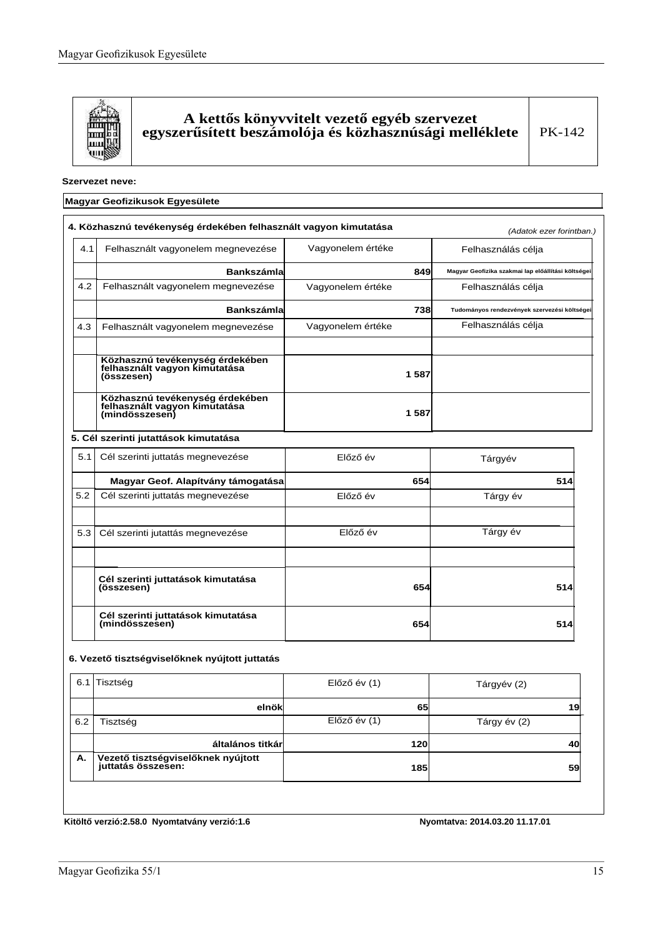

### ${\bf A}$  kettős könyvvitelt vezető egyéb szervezet egyszerűsített beszámolója és közhasznúsági melléklete

#### **Szervezet neve:**

### **Magyar Geofizikusok Egyesülete**

|     | 4. Közhasznú tevékenység érdekében felhasznált vagyon kimutatása                   |                   |      | (Adatok ezer forintban.)                           |  |  |
|-----|------------------------------------------------------------------------------------|-------------------|------|----------------------------------------------------|--|--|
| 4.1 | Felhasznált vagyonelem megnevezése                                                 | Vagyonelem értéke |      | Felhasználás célja                                 |  |  |
|     | <b>Bankszámla</b>                                                                  |                   | 849  | Magyar Geofizika szakmai lap előállítási költségei |  |  |
| 4.2 | Felhasznált vagyonelem megnevezése                                                 | Vagyonelem értéke |      | Felhasználás célja                                 |  |  |
|     | <b>Bankszámla</b>                                                                  |                   | 738  | Tudományos rendezvények szervezési költségei       |  |  |
| 4.3 | Felhasznált vagyonelem megnevezése                                                 | Vagyonelem értéke |      | Felhasználás célja                                 |  |  |
|     | Közhasznú tevékenység érdekében<br>felhasznált vagyon kimutatása<br>(összesen)     |                   | 1587 |                                                    |  |  |
|     | Közhasznú tevékenység érdekében<br>felhasznált vagyon kimutatása<br>(mindösszesen) |                   | 1587 |                                                    |  |  |
|     | 5. Cél szerinti jutattások kimutatása                                              |                   |      |                                                    |  |  |
| 5.1 | Cél szerinti juttatás megnevezése                                                  | Előző év          |      | Tárgyév                                            |  |  |
|     | Magyar Geof. Alapítvány támogatása                                                 |                   | 654  | 514                                                |  |  |
| 5.2 | Cél szerinti juttatás megnevezése                                                  | Előző év          |      | Tárgy év                                           |  |  |
| 5.3 | Cél szerinti jutattás megnevezése                                                  | Előző év          |      | Tárgy év                                           |  |  |
|     | Cél szerinti juttatások kimutatása<br>(összesen)                                   |                   | 654  | 514                                                |  |  |
|     | Cél szerinti juttatások kimutatása<br>(mindösszesen)                               |                   | 654  | 514                                                |  |  |

#### 6. Vezető tisztségviselőknek nyújtott juttatás

|     | 6.1 Tisztség                                             | $El$ őző év $(1)$ | Tárgyév (2)  |
|-----|----------------------------------------------------------|-------------------|--------------|
|     | elnök                                                    | 65                | 19           |
| 6.2 | Tisztség                                                 | $E$ lőző év $(1)$ | Tárgy év (2) |
|     | általános titkárl                                        | <b>120</b>        | 40           |
| А.  | Vezető tisztségviselőknek nyújtott<br>juttatás összesen: | <b>185</b>        | 59           |
|     |                                                          |                   |              |

Kitöltő verzió:2.58.0 Nyomtatvány verzió:1.6 **bizterinden alapítat alamazzat alapítat** 1014.03.2011.17.01